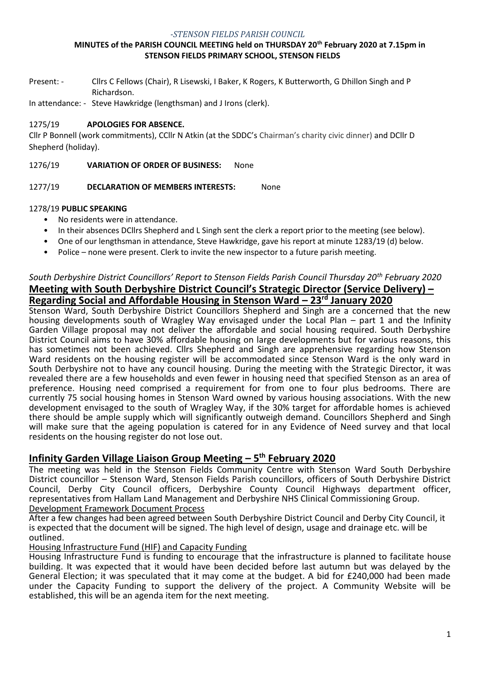#### *-STENSON FIELDS PARISH COUNCIL*

#### **MINUTES of the PARISH COUNCIL MEETING held on THURSDAY 20th February 2020 at 7.15pm in STENSON FIELDS PRIMARY SCHOOL, STENSON FIELDS**

Present: - Cllrs C Fellows (Chair), R Lisewski, I Baker, K Rogers, K Butterworth, G Dhillon Singh and P Richardson.

In attendance: - Steve Hawkridge (lengthsman) and J Irons (clerk).

#### 1275/19 **APOLOGIES FOR ABSENCE.**

Cllr P Bonnell (work commitments), CCllr N Atkin (at the SDDC's Chairman's charity civic dinner) and DCllr D Shepherd (holiday).

1276/19 **VARIATION OF ORDER OF BUSINESS:** None

1277/19 **DECLARATION OF MEMBERS INTERESTS:** None

### 1278/19 **PUBLIC SPEAKING**

- No residents were in attendance.
- In their absences DCllrs Shepherd and L Singh sent the clerk a report prior to the meeting (see below).
- One of our lengthsman in attendance, Steve Hawkridge, gave his report at minute 1283/19 (d) below.
- Police none were present. Clerk to invite the new inspector to a future parish meeting.

## *South Derbyshire District Councillors' Report to Stenson Fields Parish Council Thursday 20th February 2020* **Meeting with South Derbyshire District Council's Strategic Director (Service Delivery) – Regarding Social and Affordable Housing in Stenson Ward – 23rd January 2020**

Stenson Ward, South Derbyshire District Councillors Shepherd and Singh are a concerned that the new housing developments south of Wragley Way envisaged under the Local Plan – part 1 and the Infinity Garden Village proposal may not deliver the affordable and social housing required. South Derbyshire District Council aims to have 30% affordable housing on large developments but for various reasons, this has sometimes not been achieved. Cllrs Shepherd and Singh are apprehensive regarding how Stenson Ward residents on the housing register will be accommodated since Stenson Ward is the only ward in South Derbyshire not to have any council housing. During the meeting with the Strategic Director, it was revealed there are a few households and even fewer in housing need that specified Stenson as an area of preference. Housing need comprised a requirement for from one to four plus bedrooms. There are currently 75 social housing homes in Stenson Ward owned by various housing associations. With the new development envisaged to the south of Wragley Way, if the 30% target for affordable homes is achieved there should be ample supply which will significantly outweigh demand. Councillors Shepherd and Singh will make sure that the ageing population is catered for in any Evidence of Need survey and that local residents on the housing register do not lose out.

# **Infinity Garden Village Liaison Group Meeting – 5 th February 2020**

The meeting was held in the Stenson Fields Community Centre with Stenson Ward South Derbyshire District councillor – Stenson Ward, Stenson Fields Parish councillors, officers of South Derbyshire District Council, Derby City Council officers, Derbyshire County Council Highways department officer, representatives from Hallam Land Management and Derbyshire NHS Clinical Commissioning Group. Development Framework Document Process

After a few changes had been agreed between South Derbyshire District Council and Derby City Council, it is expected that the document will be signed. The high level of design, usage and drainage etc. will be outlined.

Housing Infrastructure Fund (HIF) and Capacity Funding

Housing Infrastructure Fund is funding to encourage that the infrastructure is planned to facilitate house building. It was expected that it would have been decided before last autumn but was delayed by the General Election; it was speculated that it may come at the budget. A bid for £240,000 had been made under the Capacity Funding to support the delivery of the project. A Community Website will be established, this will be an agenda item for the next meeting.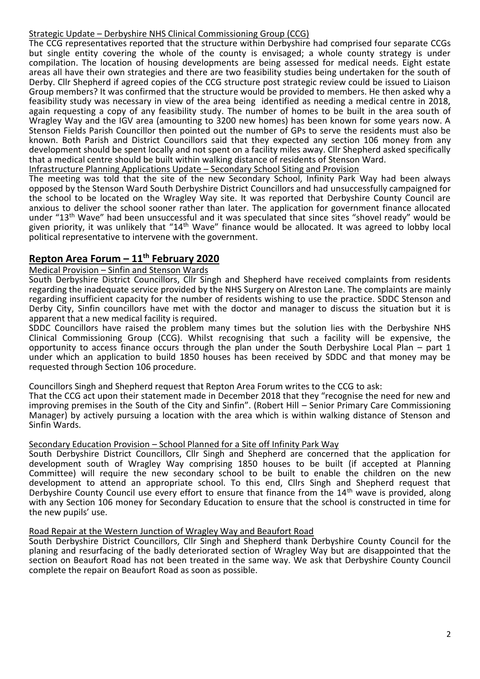### Strategic Update – Derbyshire NHS Clinical Commissioning Group (CCG)

The CCG representatives reported that the structure within Derbyshire had comprised four separate CCGs but single entity covering the whole of the county is envisaged; a whole county strategy is under compilation. The location of housing developments are being assessed for medical needs. Eight estate areas all have their own strategies and there are two feasibility studies being undertaken for the south of Derby. Cllr Shepherd if agreed copies of the CCG structure post strategic review could be issued to Liaison Group members? It was confirmed that the structure would be provided to members. He then asked why a feasibility study was necessary in view of the area being identified as needing a medical centre in 2018, again requesting a copy of any feasibility study. The number of homes to be built in the area south of Wragley Way and the IGV area (amounting to 3200 new homes) has been known for some years now. A Stenson Fields Parish Councillor then pointed out the number of GPs to serve the residents must also be known. Both Parish and District Councillors said that they expected any section 106 money from any development should be spent locally and not spent on a facility miles away. Cllr Shepherd asked specifically that a medical centre should be built within walking distance of residents of Stenson Ward.

Infrastructure Planning Applications Update – Secondary School Siting and Provision

The meeting was told that the site of the new Secondary School, Infinity Park Way had been always opposed by the Stenson Ward South Derbyshire District Councillors and had unsuccessfully campaigned for the school to be located on the Wragley Way site. It was reported that Derbyshire County Council are anxious to deliver the school sooner rather than later. The application for government finance allocated under "13th Wave" had been unsuccessful and it was speculated that since sites "shovel ready" would be given priority, it was unlikely that "14<sup>th</sup> Wave" finance would be allocated. It was agreed to lobby local political representative to intervene with the government.

## **Repton Area Forum – 11th February 2020**

Medical Provision – Sinfin and Stenson Wards

South Derbyshire District Councillors, Cllr Singh and Shepherd have received complaints from residents regarding the inadequate service provided by the NHS Surgery on Alreston Lane. The complaints are mainly regarding insufficient capacity for the number of residents wishing to use the practice. SDDC Stenson and Derby City, Sinfin councillors have met with the doctor and manager to discuss the situation but it is apparent that a new medical facility is required.

SDDC Councillors have raised the problem many times but the solution lies with the Derbyshire NHS Clinical Commissioning Group (CCG). Whilst recognising that such a facility will be expensive, the opportunity to access finance occurs through the plan under the South Derbyshire Local Plan – part 1 under which an application to build 1850 houses has been received by SDDC and that money may be requested through Section 106 procedure.

Councillors Singh and Shepherd request that Repton Area Forum writes to the CCG to ask:

That the CCG act upon their statement made in December 2018 that they "recognise the need for new and improving premises in the South of the City and Sinfin". (Robert Hill – Senior Primary Care Commissioning Manager) by actively pursuing a location with the area which is within walking distance of Stenson and Sinfin Wards.

#### Secondary Education Provision – School Planned for a Site off Infinity Park Way

South Derbyshire District Councillors, Cllr Singh and Shepherd are concerned that the application for development south of Wragley Way comprising 1850 houses to be built (if accepted at Planning Committee) will require the new secondary school to be built to enable the children on the new development to attend an appropriate school. To this end, Cllrs Singh and Shepherd request that Derbyshire County Council use every effort to ensure that finance from the 14<sup>th</sup> wave is provided, along with any Section 106 money for Secondary Education to ensure that the school is constructed in time for the new pupils' use.

#### Road Repair at the Western Junction of Wragley Way and Beaufort Road

South Derbyshire District Councillors, Cllr Singh and Shepherd thank Derbyshire County Council for the planing and resurfacing of the badly deteriorated section of Wragley Way but are disappointed that the section on Beaufort Road has not been treated in the same way. We ask that Derbyshire County Council complete the repair on Beaufort Road as soon as possible.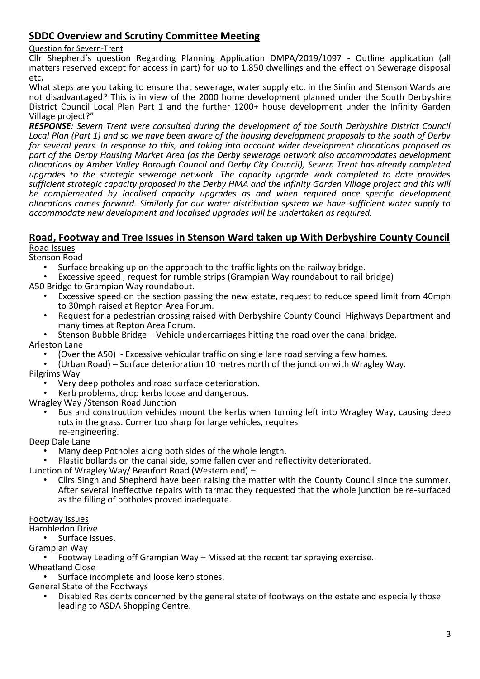# **SDDC Overview and Scrutiny Committee Meeting**

### Question for Severn-Trent

Cllr Shepherd's question Regarding Planning Application DMPA/2019/1097 - Outline application (all matters reserved except for access in part) for up to 1,850 dwellings and the effect on Sewerage disposal etc**.** 

What steps are you taking to ensure that sewerage, water supply etc. in the Sinfin and Stenson Wards are not disadvantaged? This is in view of the 2000 home development planned under the South Derbyshire District Council Local Plan Part 1 and the further 1200+ house development under the Infinity Garden Village project?"

*RESPONSE: Severn Trent were consulted during the development of the South Derbyshire District Council Local Plan (Part 1) and so we have been aware of the housing development proposals to the south of Derby for several years. In response to this, and taking into account wider development allocations proposed as part of the Derby Housing Market Area (as the Derby sewerage network also accommodates development allocations by Amber Valley Borough Council and Derby City Council), Severn Trent has already completed upgrades to the strategic sewerage network. The capacity upgrade work completed to date provides sufficient strategic capacity proposed in the Derby HMA and the Infinity Garden Village project and this will be complemented by localised capacity upgrades as and when required once specific development allocations comes forward. Similarly for our water distribution system we have sufficient water supply to accommodate new development and localised upgrades will be undertaken as required.*

#### **Road, Footway and Tree Issues in Stenson Ward taken up With Derbyshire County Council** Road Issues

Stenson Road

- Surface breaking up on the approach to the traffic lights on the railway bridge.
- Excessive speed , request for rumble strips (Grampian Way roundabout to rail bridge)

A50 Bridge to Grampian Way roundabout.

- Excessive speed on the section passing the new estate, request to reduce speed limit from 40mph to 30mph raised at Repton Area Forum.
- Request for a pedestrian crossing raised with Derbyshire County Council Highways Department and many times at Repton Area Forum.
- Stenson Bubble Bridge Vehicle undercarriages hitting the road over the canal bridge.

Arleston Lane

- (Over the A50) Excessive vehicular traffic on single lane road serving a few homes.
- (Urban Road) Surface deterioration 10 metres north of the junction with Wragley Way. Pilgrims Way
	- Very deep potholes and road surface deterioration.
	- Kerb problems, drop kerbs loose and dangerous.

Wragley Way /Stenson Road Junction

• Bus and construction vehicles mount the kerbs when turning left into Wragley Way, causing deep ruts in the grass. Corner too sharp for large vehicles, requires re-engineering.

Deep Dale Lane

- Many deep Potholes along both sides of the whole length.
- Plastic bollards on the canal side, some fallen over and reflectivity deteriorated.

Junction of Wragley Way/ Beaufort Road (Western end) –

• Cllrs Singh and Shepherd have been raising the matter with the County Council since the summer. After several ineffective repairs with tarmac they requested that the whole junction be re-surfaced as the filling of potholes proved inadequate.

#### Footway Issues

Hambledon Drive

• Surface issues.

Grampian Way

• Footway Leading off Grampian Way – Missed at the recent tar spraying exercise. Wheatland Close

Surface incomplete and loose kerb stones.

General State of the Footways

• Disabled Residents concerned by the general state of footways on the estate and especially those leading to ASDA Shopping Centre.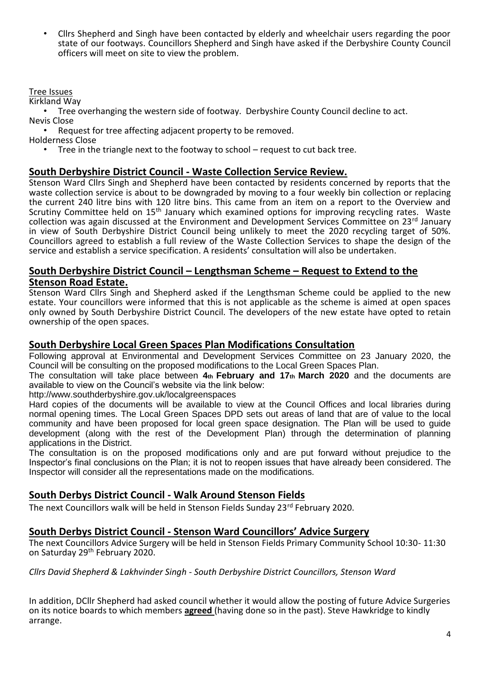• Cllrs Shepherd and Singh have been contacted by elderly and wheelchair users regarding the poor state of our footways. Councillors Shepherd and Singh have asked if the Derbyshire County Council officers will meet on site to view the problem.

## Tree Issues

Kirkland Way

• Tree overhanging the western side of footway. Derbyshire County Council decline to act. Nevis Close

• Request for tree affecting adjacent property to be removed.

Holderness Close

• Tree in the triangle next to the footway to school – request to cut back tree.

## **South Derbyshire District Council - Waste Collection Service Review.**

Stenson Ward Cllrs Singh and Shepherd have been contacted by residents concerned by reports that the waste collection service is about to be downgraded by moving to a four weekly bin collection or replacing the current 240 litre bins with 120 litre bins. This came from an item on a report to the Overview and Scrutiny Committee held on 15<sup>th</sup> January which examined options for improving recycling rates. Waste collection was again discussed at the Environment and Development Services Committee on 23rd January in view of South Derbyshire District Council being unlikely to meet the 2020 recycling target of 50%. Councillors agreed to establish a full review of the Waste Collection Services to shape the design of the service and establish a service specification. A residents' consultation will also be undertaken.

## **South Derbyshire District Council – Lengthsman Scheme – Request to Extend to the Stenson Road Estate.**

Stenson Ward Cllrs Singh and Shepherd asked if the Lengthsman Scheme could be applied to the new estate. Your councillors were informed that this is not applicable as the scheme is aimed at open spaces only owned by South Derbyshire District Council. The developers of the new estate have opted to retain ownership of the open spaces.

## **South Derbyshire Local Green Spaces Plan Modifications Consultation**

Following approval at Environmental and Development Services Committee on 23 January 2020, the Council will be consulting on the proposed modifications to the Local Green Spaces Plan.

The consultation will take place between **4th February and 17th March 2020** and the documents are available to view on the Council's website via the link below:

http://www.southderbyshire.gov.uk/localgreenspaces

Hard copies of the documents will be available to view at the Council Offices and local libraries during normal opening times. The Local Green Spaces DPD sets out areas of land that are of value to the local community and have been proposed for local green space designation. The Plan will be used to guide development (along with the rest of the Development Plan) through the determination of planning applications in the District.

The consultation is on the proposed modifications only and are put forward without prejudice to the Inspector's final conclusions on the Plan; it is not to reopen issues that have already been considered. The Inspector will consider all the representations made on the modifications.

## **South Derbys District Council - Walk Around Stenson Fields**

The next Councillors walk will be held in Stenson Fields Sunday 23rd February 2020.

#### **South Derbys District Council - Stenson Ward Councillors' Advice Surgery**

The next Councillors Advice Surgery will be held in Stenson Fields Primary Community School 10:30- 11:30 on Saturday 29th February 2020.

*Cllrs David Shepherd & Lakhvinder Singh - South Derbyshire District Councillors, Stenson Ward*

In addition, DCllr Shepherd had asked council whether it would allow the posting of future Advice Surgeries on its notice boards to which members **agreed** (having done so in the past). Steve Hawkridge to kindly arrange.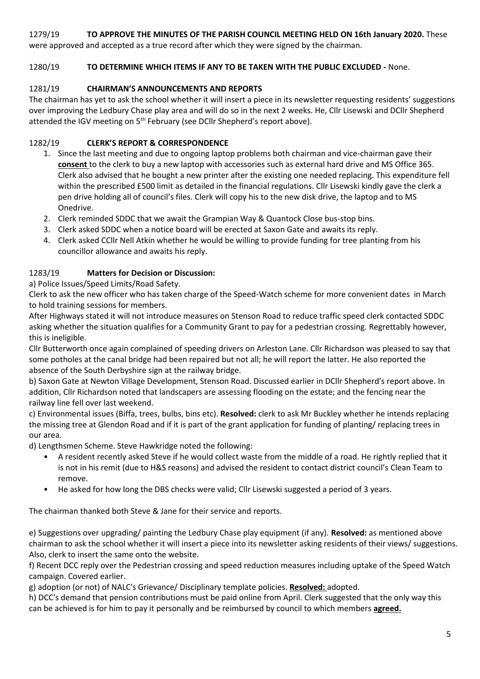## 1279/19 **TO APPROVE THE MINUTES OF THE PARISH COUNCIL MEETING HELD ON 16th January 2020.** These

were approved and accepted as a true record after which they were signed by the chairman.

## 1280/19 **TO DETERMINE WHICH ITEMS IF ANY TO BE TAKEN WITH THE PUBLIC EXCLUDED -** None.

## 1281/19 **CHAIRMAN'S ANNOUNCEMENTS AND REPORTS**

The chairman has yet to ask the school whether it will insert a piece in its newsletter requesting residents' suggestions over improving the Ledbury Chase play area and will do so in the next 2 weeks. He, Cllr Lisewski and DCllr Shepherd attended the IGV meeting on 5<sup>th</sup> February (see DCIIr Shepherd's report above).

## 1282/19 **CLERK'S REPORT & CORRESPONDENCE**

- 1. Since the last meeting and due to ongoing laptop problems both chairman and vice-chairman gave their **consent** to the clerk to buy a new laptop with accessories such as external hard drive and MS Office 365. Clerk also advised that he bought a new printer after the existing one needed replacing. This expenditure fell within the prescribed £500 limit as detailed in the financial regulations. Cllr Lisewski kindly gave the clerk a pen drive holding all of council's files. Clerk will copy his to the new disk drive, the laptop and to MS Onedrive.
- 2. Clerk reminded SDDC that we await the Grampian Way & Quantock Close bus-stop bins.
- 3. Clerk asked SDDC when a notice board will be erected at Saxon Gate and awaits its reply.
- 4. Clerk asked CCllr Nell Atkin whether he would be willing to provide funding for tree planting from his councillor allowance and awaits his reply.

## 1283/19 **Matters for Decision or Discussion:**

a) Police Issues/Speed Limits/Road Safety.

Clerk to ask the new officer who has taken charge of the Speed-Watch scheme for more convenient dates in March to hold training sessions for members.

After Highways stated it will not introduce measures on Stenson Road to reduce traffic speed clerk contacted SDDC asking whether the situation qualifies for a Community Grant to pay for a pedestrian crossing. Regrettably however, this is ineligible.

Cllr Butterworth once again complained of speeding drivers on Arleston Lane. Cllr Richardson was pleased to say that some potholes at the canal bridge had been repaired but not all; he will report the latter. He also reported the absence of the South Derbyshire sign at the railway bridge.

b) Saxon Gate at Newton Village Development, Stenson Road. Discussed earlier in DCllr Shepherd's report above. In addition, Cllr Richardson noted that landscapers are assessing flooding on the estate; and the fencing near the railway line fell over last weekend.

c) Environmental issues (Biffa, trees, bulbs, bins etc). **Resolved:** clerk to ask Mr Buckley whether he intends replacing the missing tree at Glendon Road and if it is part of the grant application for funding of planting/ replacing trees in our area.

d) Lengthsmen Scheme. Steve Hawkridge noted the following:

- A resident recently asked Steve if he would collect waste from the middle of a road. He rightly replied that it is not in his remit (due to H&S reasons) and advised the resident to contact district council's Clean Team to remove.
- He asked for how long the DBS checks were valid; Cllr Lisewski suggested a period of 3 years.

The chairman thanked both Steve & Jane for their service and reports.

e) Suggestions over upgrading/ painting the Ledbury Chase play equipment (if any). **Resolved:** as mentioned above chairman to ask the school whether it will insert a piece into its newsletter asking residents of their views/ suggestions. Also, clerk to insert the same onto the website.

f) Recent DCC reply over the Pedestrian crossing and speed reduction measures including uptake of the Speed Watch campaign. Covered earlier.

g) adoption (or not) of NALC's Grievance/ Disciplinary template policies. **Resolved:** adopted.

h) DCC's demand that pension contributions must be paid online from April. Clerk suggested that the only way this can be achieved is for him to pay it personally and be reimbursed by council to which members **agreed.**